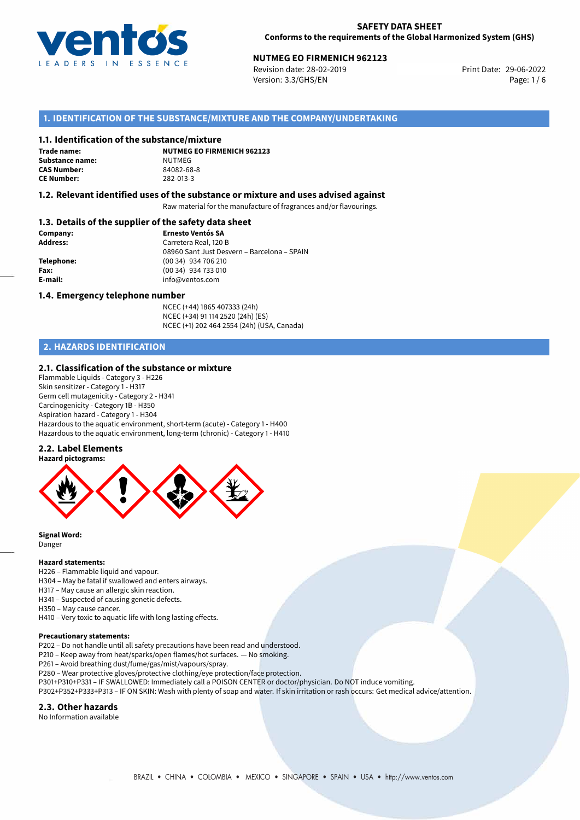

Revision date: 28-02-2019 Version: 3.3/GHS/EN Page: 1 / 6

## **1. IDENTIFICATION OF THE SUBSTANCE/MIXTURE AND THE COMPANY/UNDERTAKING**

#### **1.1. Identification of the substance/mixture**

**Trade name: Substance name:** NUTMEG<br> **CAS Number:** 84082-68-8 **CAS Number: CE Number:** 282-013-3

**NUTMEG EO FIRMENICH 962123**

#### **1.2. Relevant identified uses of the substance or mixture and uses advised against**

Raw material for the manufacture of fragrances and/or flavourings.

## **1.3. Details of the supplier of the safety data sheet**

| Company:        | <b>Ernesto Ventós SA</b>                    |
|-----------------|---------------------------------------------|
| <b>Address:</b> | Carretera Real, 120 B                       |
|                 | 08960 Sant Just Desvern - Barcelona - SPAIN |
| Telephone:      | (00 34) 934 706 210                         |
| Fax:            | (00 34) 934 733 010                         |
| E-mail:         | info@ventos.com                             |
|                 |                                             |

#### **1.4. Emergency telephone number**

NCEC (+44) 1865 407333 (24h) NCEC (+34) 91 114 2520 (24h) (ES) NCEC (+1) 202 464 2554 (24h) (USA, Canada)

## **2. HAZARDS IDENTIFICATION**

#### **2.1. Classification of the substance or mixture**

Flammable Liquids - Category 3 - H226 Skin sensitizer - Category 1 - H317 Germ cell mutagenicity - Category 2 - H341 Carcinogenicity - Category 1B - H350 Aspiration hazard - Category 1 - H304 Hazardous to the aquatic environment, short-term (acute) - Category 1 - H400 Hazardous to the aquatic environment, long-term (chronic) - Category 1 - H410

## **2.2. Label Elements**



**Signal Word:** Danger

#### **Hazard statements:**

- H226 Flammable liquid and vapour.
- H304 May be fatal if swallowed and enters airways.
- H317 May cause an allergic skin reaction.
- H341 Suspected of causing genetic defects.
- H350 May cause cancer.
- H410 Very toxic to aquatic life with long lasting effects.

#### **Precautionary statements:**

- P202 Do not handle until all safety precautions have been read and understood.
- P210 Keep away from heat/sparks/open flames/hot surfaces. No smoking.
- P261 Avoid breathing dust/fume/gas/mist/vapours/spray.
- P280 Wear protective gloves/protective clothing/eye protection/face protection.
- P301+P310+P331 IF SWALLOWED: Immediately call a POISON CENTER or doctor/physician. Do NOT induce vomiting.
- P302+P352+P333+P313 IF ON SKIN: Wash with plenty of soap and water. If skin irritation or rash occurs: Get medical advice/attention.

## **2.3. Other hazards**

No Information available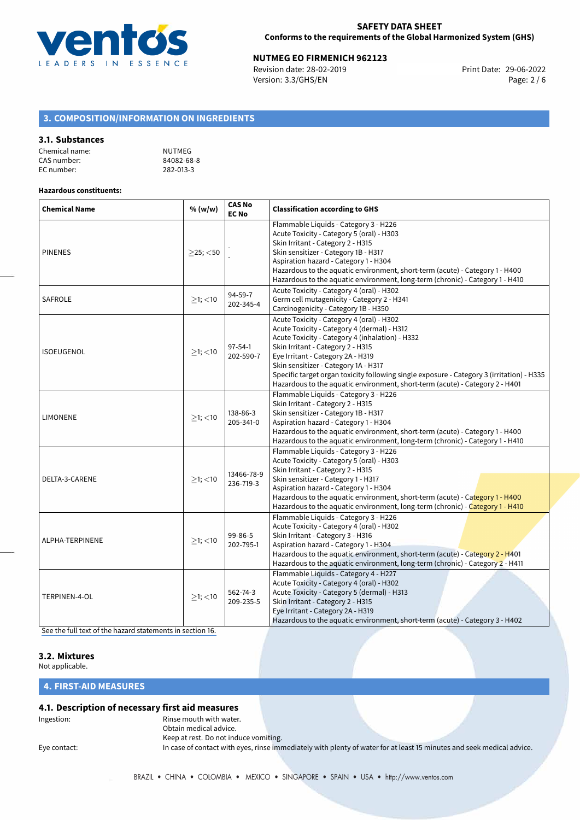

Revision date: 28-02-2019 Version: 3.3/GHS/EN Page: 2 / 6

## **3. COMPOSITION/INFORMATION ON INGREDIENTS**

#### **3.1. Substances**

| Chemical name: | NUTMEG     |
|----------------|------------|
| CAS number:    | 84082-68-8 |
| EC number:     | 282-013-3  |

#### **Hazardous constituents:**

| <b>Chemical Name</b> | % (w/w)        | <b>CAS No</b><br><b>EC No</b> | <b>Classification according to GHS</b>                                                                                                                                                                                                                                                                                                                                                                                                     |  |
|----------------------|----------------|-------------------------------|--------------------------------------------------------------------------------------------------------------------------------------------------------------------------------------------------------------------------------------------------------------------------------------------------------------------------------------------------------------------------------------------------------------------------------------------|--|
| <b>PINENES</b>       | $>25$ ; $<$ 50 |                               | Flammable Liquids - Category 3 - H226<br>Acute Toxicity - Category 5 (oral) - H303<br>Skin Irritant - Category 2 - H315<br>Skin sensitizer - Category 1B - H317<br>Aspiration hazard - Category 1 - H304<br>Hazardous to the aquatic environment, short-term (acute) - Category 1 - H400<br>Hazardous to the aquatic environment, long-term (chronic) - Category 1 - H410                                                                  |  |
| <b>SAFROLE</b>       | $\geq$ 1; <10  | 94-59-7<br>202-345-4          | Acute Toxicity - Category 4 (oral) - H302<br>Germ cell mutagenicity - Category 2 - H341<br>Carcinogenicity - Category 1B - H350                                                                                                                                                                                                                                                                                                            |  |
| <b>ISOEUGENOL</b>    | $>1$ ; <10     | $97 - 54 - 1$<br>202-590-7    | Acute Toxicity - Category 4 (oral) - H302<br>Acute Toxicity - Category 4 (dermal) - H312<br>Acute Toxicity - Category 4 (inhalation) - H332<br>Skin Irritant - Category 2 - H315<br>Eye Irritant - Category 2A - H319<br>Skin sensitizer - Category 1A - H317<br>Specific target organ toxicity following single exposure - Category 3 (irritation) - H335<br>Hazardous to the aquatic environment, short-term (acute) - Category 2 - H401 |  |
| <b>LIMONENE</b>      | $>1$ ; $<$ 10  | 138-86-3<br>205-341-0         | Flammable Liquids - Category 3 - H226<br>Skin Irritant - Category 2 - H315<br>Skin sensitizer - Category 1B - H317<br>Aspiration hazard - Category 1 - H304<br>Hazardous to the aquatic environment, short-term (acute) - Category 1 - H400<br>Hazardous to the aquatic environment, long-term (chronic) - Category 1 - H410                                                                                                               |  |
| DELTA-3-CARENE       | $>1$ ; <10     | 13466-78-9<br>236-719-3       | Flammable Liquids - Category 3 - H226<br>Acute Toxicity - Category 5 (oral) - H303<br>Skin Irritant - Category 2 - H315<br>Skin sensitizer - Category 1 - H317<br>Aspiration hazard - Category 1 - H304<br>Hazardous to the aquatic environment, short-term (acute) - Category 1 - H400<br>Hazardous to the aquatic environment, long-term (chronic) - Category 1 - H410                                                                   |  |
| ALPHA-TERPINENE      | $>1$ ; <10     | 99-86-5<br>202-795-1          | Flammable Liquids - Category 3 - H226<br>Acute Toxicity - Category 4 (oral) - H302<br>Skin Irritant - Category 3 - H316<br>Aspiration hazard - Category 1 - H304<br>Hazardous to the aquatic environment, short-term (acute) - Category 2 - H401<br>Hazardous to the aquatic environment, long-term (chronic) - Category 2 - H411                                                                                                          |  |
| TERPINEN-4-OL        | $≥1;$ < 10     | 562-74-3<br>209-235-5         | Flammable Liquids - Category 4 - H227<br>Acute Toxicity - Category 4 (oral) - H302<br>Acute Toxicity - Category 5 (dermal) - H313<br>Skin Irritant - Category 2 - H315<br>Eye Irritant - Category 2A - H319<br>Hazardous to the aquatic environment, short-term (acute) - Category 3 - H402                                                                                                                                                |  |

[See the full text of the hazard statements in section 16.](#page-4-0)

# **3.2. Mixtures**

Not applicable.

## **4. FIRST-AID MEASURES**

## **4.1. Description of necessary first aid measures**

Ingestion: The mouth with water. Obtain medical advice. Keep at rest. Do not induce vomiting.

Eye contact: In case of contact with eyes, rinse immediately with plenty of water for at least 15 minutes and seek medical advice.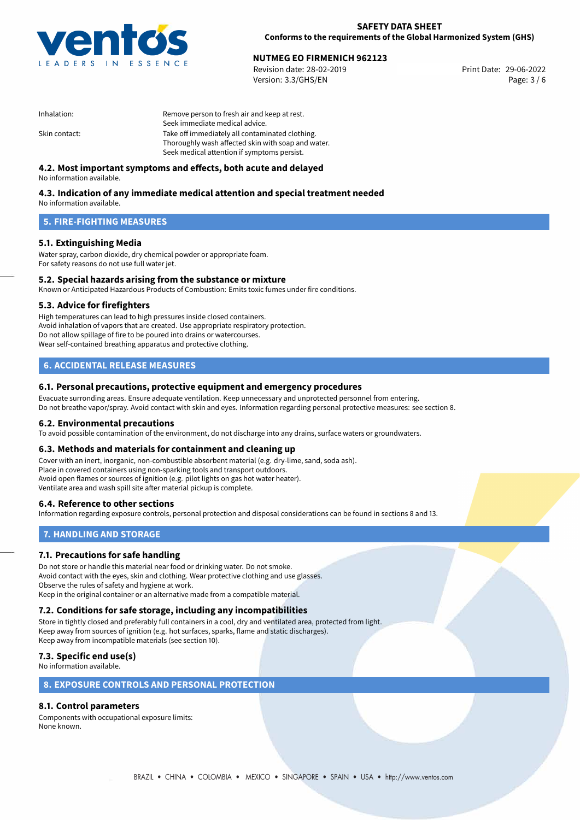

**SAFETY DATA SHEET Conforms to the requirements of the Global Harmonized System (GHS)**

# **NUTMEG EO FIRMENICH 962123**<br>
Revision date: 28-02-2019<br> **Print Date: 29-06-2022**

Revision date: 28-02-2019 Version: 3.3/GHS/EN Page: 3 / 6

| Inhalation:   | Remove person to fresh air and keep at rest.       |  |
|---------------|----------------------------------------------------|--|
|               | Seek immediate medical advice.                     |  |
| Skin contact: | Take off immediately all contaminated clothing.    |  |
|               | Thoroughly wash affected skin with soap and water. |  |
|               | Seek medical attention if symptoms persist.        |  |

## **4.2. Most important symptoms and effects, both acute and delayed**

No information available.

## **4.3. Indication of any immediate medical attention and special treatment needed**

No information available.

## **5. FIRE-FIGHTING MEASURES**

## **5.1. Extinguishing Media**

Water spray, carbon dioxide, dry chemical powder or appropriate foam. For safety reasons do not use full water jet.

## **5.2. Special hazards arising from the substance or mixture**

Known or Anticipated Hazardous Products of Combustion: Emits toxic fumes under fire conditions.

### **5.3. Advice for firefighters**

High temperatures can lead to high pressures inside closed containers. Avoid inhalation of vapors that are created. Use appropriate respiratory protection. Do not allow spillage of fire to be poured into drains or watercourses. Wear self-contained breathing apparatus and protective clothing.

## **6. ACCIDENTAL RELEASE MEASURES**

### **6.1. Personal precautions, protective equipment and emergency procedures**

Evacuate surronding areas. Ensure adequate ventilation. Keep unnecessary and unprotected personnel from entering. Do not breathe vapor/spray. Avoid contact with skin and eyes. Information regarding personal protective measures: see section 8.

#### **6.2. Environmental precautions**

To avoid possible contamination of the environment, do not discharge into any drains, surface waters or groundwaters.

#### **6.3. Methods and materials for containment and cleaning up**

Cover with an inert, inorganic, non-combustible absorbent material (e.g. dry-lime, sand, soda ash). Place in covered containers using non-sparking tools and transport outdoors. Avoid open flames or sources of ignition (e.g. pilot lights on gas hot water heater). Ventilate area and wash spill site after material pickup is complete.

### **6.4. Reference to other sections**

Information regarding exposure controls, personal protection and disposal considerations can be found in sections 8 and 13.

## **7. HANDLING AND STORAGE**

### **7.1. Precautions for safe handling**

Do not store or handle this material near food or drinking water. Do not smoke. Avoid contact with the eyes, skin and clothing. Wear protective clothing and use glasses. Observe the rules of safety and hygiene at work. Keep in the original container or an alternative made from a compatible material.

# **7.2. Conditions for safe storage, including any incompatibilities**

Store in tightly closed and preferably full containers in a cool, dry and ventilated area, protected from light. Keep away from sources of ignition (e.g. hot surfaces, sparks, flame and static discharges). Keep away from incompatible materials (see section 10).

## **7.3. Specific end use(s)**

No information available.

## **8. EXPOSURE CONTROLS AND PERSONAL PROTECTION**

# **8.1. Control parameters**

Components with occupational exposure limits: None known.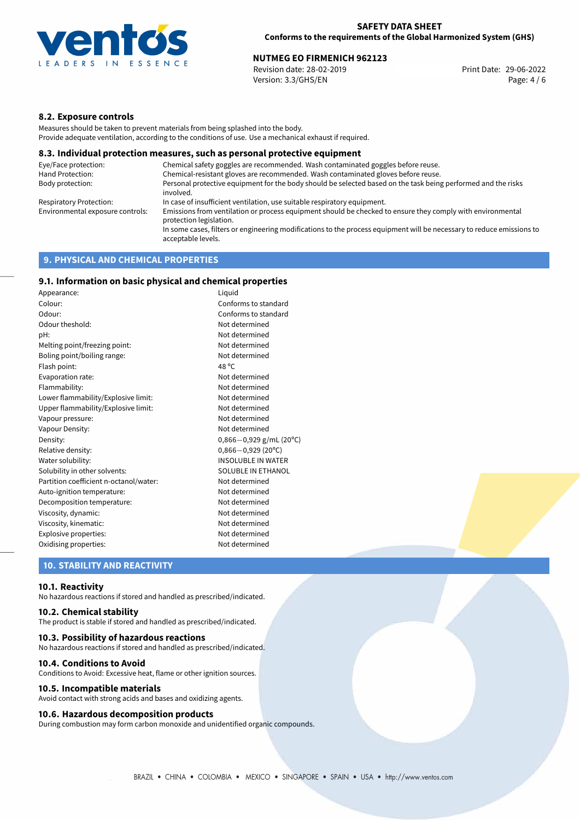

Revision date: 28-02-2019 Version: 3.3/GHS/EN Page: 4 / 6

## **8.2. Exposure controls**

Measures should be taken to prevent materials from being splashed into the body. Provide adequate ventilation, according to the conditions of use. Use a mechanical exhaust if required.

#### **8.3. Individual protection measures, such as personal protective equipment**

| Eye/Face protection:             | Chemical safety goggles are recommended. Wash contaminated goggles before reuse.                                                            |
|----------------------------------|---------------------------------------------------------------------------------------------------------------------------------------------|
| Hand Protection:                 | Chemical-resistant gloves are recommended. Wash contaminated gloves before reuse.                                                           |
| Body protection:                 | Personal protective equipment for the body should be selected based on the task being performed and the risks<br>involved.                  |
| Respiratory Protection:          | In case of insufficient ventilation, use suitable respiratory equipment.                                                                    |
| Environmental exposure controls: | Emissions from ventilation or process equipment should be checked to ensure they comply with environmental<br>protection legislation.       |
|                                  | In some cases, filters or engineering modifications to the process equipment will be necessary to reduce emissions to<br>acceptable levels. |
|                                  |                                                                                                                                             |

## **9. PHYSICAL AND CHEMICAL PROPERTIES**

## **9.1. Information on basic physical and chemical properties**

| Appearance:                            | Liguid                      |
|----------------------------------------|-----------------------------|
| Colour:                                | Conforms to standard        |
| Odour:                                 | Conforms to standard        |
| Odour theshold:                        | Not determined              |
| pH:                                    | Not determined              |
| Melting point/freezing point:          | Not determined              |
| Boling point/boiling range:            | Not determined              |
| Flash point:                           | 48 °C                       |
| Evaporation rate:                      | Not determined              |
| Flammability:                          | Not determined              |
| Lower flammability/Explosive limit:    | Not determined              |
| Upper flammability/Explosive limit:    | Not determined              |
| Vapour pressure:                       | Not determined              |
| Vapour Density:                        | Not determined              |
| Density:                               | $0,866 - 0,929$ g/mL (20°C) |
| Relative density:                      | $0,866 - 0,929$ (20°C)      |
| Water solubility:                      | <b>INSOLUBLE IN WATER</b>   |
| Solubility in other solvents:          | SOLUBLE IN ETHANOL          |
| Partition coefficient n-octanol/water: | Not determined              |
| Auto-ignition temperature:             | Not determined              |
| Decomposition temperature:             | Not determined              |
| Viscosity, dynamic:                    | Not determined              |
| Viscosity, kinematic:                  | Not determined              |
| Explosive properties:                  | Not determined              |
| Oxidising properties:                  | Not determined              |

## **10. STABILITY AND REACTIVITY**

#### **10.1. Reactivity**

No hazardous reactions if stored and handled as prescribed/indicated.

## **10.2. Chemical stability**

The product is stable if stored and handled as prescribed/indicated.

#### **10.3. Possibility of hazardous reactions**

No hazardous reactions if stored and handled as prescribed/indicated.

#### **10.4. Conditions to Avoid**

Conditions to Avoid: Excessive heat, flame or other ignition sources.

#### **10.5. Incompatible materials**

Avoid contact with strong acids and bases and oxidizing agents.

## **10.6. Hazardous decomposition products**

During combustion may form carbon monoxide and unidentified organic compounds.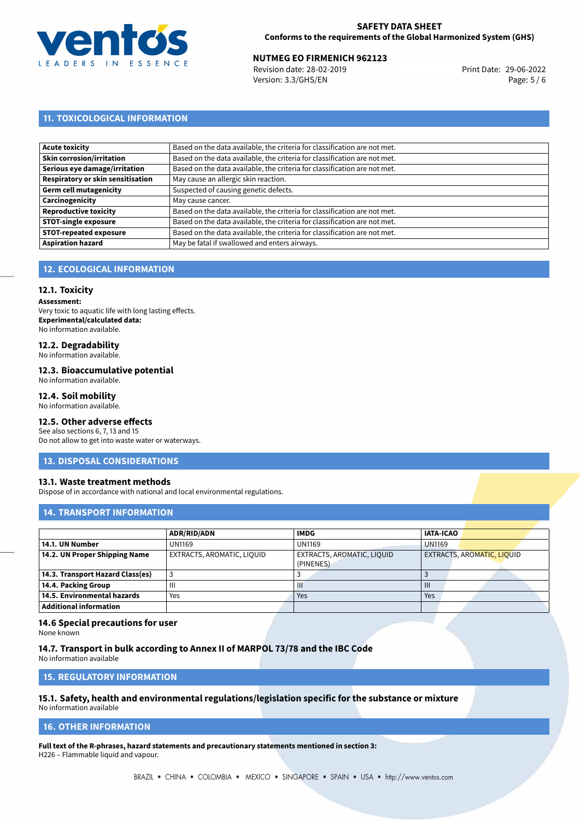

Revision date: 28-02-2019 Version: 3.3/GHS/EN Page: 5 / 6

## **11. TOXICOLOGICAL INFORMATION**

| Acute toxicity                    | Based on the data available, the criteria for classification are not met. |
|-----------------------------------|---------------------------------------------------------------------------|
| Skin corrosion/irritation         | Based on the data available, the criteria for classification are not met. |
| Serious eye damage/irritation     | Based on the data available, the criteria for classification are not met. |
| Respiratory or skin sensitisation | May cause an allergic skin reaction.                                      |
| Germ cell mutagenicity            | Suspected of causing genetic defects.                                     |
| Carcinogenicity                   | May cause cancer.                                                         |
| Reproductive toxicity             | Based on the data available, the criteria for classification are not met. |
| <b>STOT-single exposure</b>       | Based on the data available, the criteria for classification are not met. |
| <b>STOT-repeated exposure</b>     | Based on the data available, the criteria for classification are not met. |
| <b>Aspiration hazard</b>          | May be fatal if swallowed and enters airways.                             |

## **12. ECOLOGICAL INFORMATION**

#### **12.1. Toxicity**

**Assessment:** Very toxic to aquatic life with long lasting effects. **Experimental/calculated data:** No information available.

# **12.2. Degradability**

No information available.

#### **12.3. Bioaccumulative potential**

No information available.

#### **12.4. Soil mobility**

No information available.

# **12.5. Other adverse effects**

See also sections 6, 7, 13 and 15 Do not allow to get into waste water or waterways.

#### **13. DISPOSAL CONSIDERATIONS**

#### **13.1. Waste treatment methods**

Dispose of in accordance with national and local environmental regulations.

## **14. TRANSPORT INFORMATION**

|                                  | <b>ADR/RID/ADN</b>         | <b>IMDG</b>                             | <b>IATA-ICAO</b>           |
|----------------------------------|----------------------------|-----------------------------------------|----------------------------|
| 14.1. UN Number                  | <b>UN1169</b>              | <b>UN1169</b>                           | <b>UN1169</b>              |
| 14.2. UN Proper Shipping Name    | EXTRACTS, AROMATIC, LIQUID | EXTRACTS, AROMATIC, LIQUID<br>(PINENES) | EXTRACTS, AROMATIC, LIQUID |
| 14.3. Transport Hazard Class(es) |                            |                                         |                            |
| 14.4. Packing Group              | $\mathbf{III}$             | Ш                                       | $\mathbf{III}$             |
| 14.5. Environmental hazards      | Yes                        | Yes                                     | Yes                        |
| <b>Additional information</b>    |                            |                                         |                            |

#### **14.6 Special precautions for user**

None known

**14.7. Transport in bulk according to Annex II of MARPOL 73/78 and the IBC Code** No information available

**15. REGULATORY INFORMATION**

# **15.1. Safety, health and environmental regulations/legislation specific for the substance or mixture**

No information available

#### <span id="page-4-0"></span>**16. OTHER INFORMATION**

**Full text of the R-phrases, hazard statements and precautionary statements mentioned in section 3:** H226 – Flammable liquid and vapour.